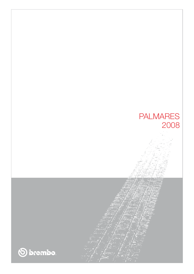

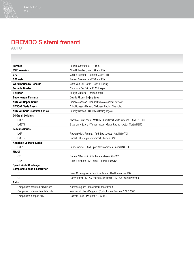## BREMBO Sistemi frenanti

AUTO

| Formula 1                                                       | Ferrari (Costruttore) - F2008                                           |
|-----------------------------------------------------------------|-------------------------------------------------------------------------|
| <b>F3 Euroseries</b>                                            | Nico Hülkenberg - ART Grand Prix                                        |
| GP <sub>2</sub>                                                 | Giorgio Pantano - Campos Grand Prix                                     |
| <b>GP2 Asia</b>                                                 | Roman Grosjean - ART Grand Prix                                         |
| <b>World Series by Renault</b>                                  | Gedo Van Der Garde - Tech 1 Racing                                      |
| <b>Formula Master</b>                                           | Chris Van Der Drift - JD Motorsport                                     |
| <b>F</b> Nippon                                                 | Tsugio Matsuda - Lawson Impul                                           |
| <b>Superleague Formula</b>                                      | Davide Rigon - Beijing Guoan                                            |
| <b>NASCAR Coppa Sprint</b>                                      | Jimmie Johnson - Hendricks Motorsports Chevrolet                        |
| <b>NASCAR Serie Busch</b>                                       | Clint Bowyer - Richard Childress Racing Chevrolet                       |
| <b>NASCAR Serie Craftsman Truck</b>                             | Johnny Benson - Bill Davis Racing Toyota                                |
| 24 Ore di Le Mans                                               |                                                                         |
| LMP1                                                            | Capello / Kristensen / McNish - Audi Sport North America - Audi R10 TDI |
| I MGT1                                                          | Brabham / Garcia / Turner - Aston Martin Racing - Aston Martin DBR9     |
| <b>Le Mans Series</b>                                           |                                                                         |
| LMP1                                                            | Rockenfeller / Prémat - Audi Sport Joest - Audi R10 TDI                 |
| LMGT <sub>2</sub>                                               | Robert Bell - Virgo Motorsport - Ferrari F430 GT                        |
| <b>American Le Mans Series</b>                                  |                                                                         |
| LMP1                                                            | Luhr / Werner - Audi Sport North America - Audi R10 TDI                 |
| <b>FIA GT</b>                                                   |                                                                         |
| GT <sub>1</sub>                                                 | Bartels / Bertolini - Vitaphone - Maserati MC12                         |
| GT <sub>2</sub>                                                 | Bruni / Vilander - AF Corse - Ferrari 430 GT2                           |
| <b>Speed World Challenge</b><br>Campionato piloti e costruttori |                                                                         |
| <b>TC</b>                                                       | Peter Cunningham - RealTime Acura - RealTime Acura TSX                  |
| GT                                                              | Randy Pobst - K-PAX Racing (Costruttore) - K-PAX Racing Porsche         |
| Rally                                                           |                                                                         |
| Campionato vetture di produzione                                | Andreas Aigner - Mitsubishi Lancer Evo IX                               |
| Campionato intercontinentale rally                              | Vouilloz Nicolas - Peugeout (Costruttore) - Peugeot 207 S2000           |
| Campionato europeo rally                                        | Rossetti Luca - Peugeot 207 S2000                                       |
|                                                                 |                                                                         |